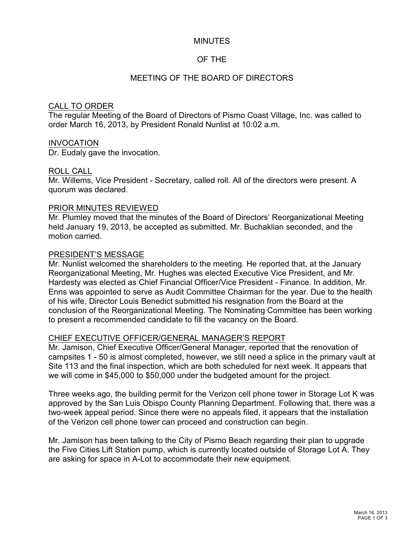### **MINUTES**

## OF THE

## MEETING OF THE BOARD OF DIRECTORS

#### CALL TO ORDER

The regular Meeting of the Board of Directors of Pismo Coast Village, Inc. was called to order March 16, 2013, by President Ronald Nunlist at 10:02 a.m.

#### INVOCATION

Dr. Eudaly gave the invocation.

### ROLL CALL

Mr. Willems, Vice President - Secretary, called roll. All of the directors were present. A quorum was declared.

### PRIOR MINUTES REVIEWED

Mr. Plumley moved that the minutes of the Board of Directors' Reorganizational Meeting held January 19, 2013, be accepted as submitted. Mr. Buchaklian seconded, and the motion carried.

### PRESIDENT'S MESSAGE

Mr. Nunlist welcomed the shareholders to the meeting. He reported that, at the January Reorganizational Meeting, Mr. Hughes was elected Executive Vice President, and Mr. Hardesty was elected as Chief Financial Officer/Vice President - Finance. In addition, Mr. Enns was appointed to serve as Audit Committee Chairman for the year. Due to the health of his wife, Director Louis Benedict submitted his resignation from the Board at the conclusion of the Reorganizational Meeting. The Nominating Committee has been working to present a recommended candidate to fill the vacancy on the Board.

## CHIEF EXECUTIVE OFFICER/GENERAL MANAGER'S REPORT

Mr. Jamison, Chief Executive Officer/General Manager, reported that the renovation of campsites 1 - 50 is almost completed, however, we still need a splice in the primary vault at Site 113 and the final inspection, which are both scheduled for next week. It appears that we will come in \$45,000 to \$50,000 under the budgeted amount for the project.

Three weeks ago, the building permit for the Verizon cell phone tower in Storage Lot K was approved by the San Luis Obispo County Planning Department. Following that, there was a two-week appeal period. Since there were no appeals filed, it appears that the installation of the Verizon cell phone tower can proceed and construction can begin.

Mr. Jamison has been talking to the City of Pismo Beach regarding their plan to upgrade the Five Cities Lift Station pump, which is currently located outside of Storage Lot A. They are asking for space in A-Lot to accommodate their new equipment.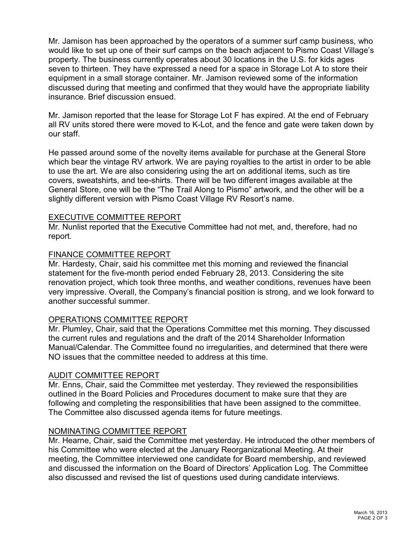Mr. Jamison has been approached by the operators of a summer surf camp business, who would like to set up one of their surf camps on the beach adjacent to Pismo Coast Village's property. The business currently operates about 30 locations in the U.S. for kids ages seven to thirteen. They have expressed a need for a space in Storage Lot A to store their equipment in a small storage container. Mr. Jamison reviewed some of the information discussed during that meeting and confirmed that they would have the appropriate liability insurance. Brief discussion ensued.

Mr. Jamison reported that the lease for Storage Lot F has expired. At the end of February all RV units stored there were moved to K-Lot, and the fence and gate were taken down by our staff.

He passed around some of the novelty items available for purchase at the General Store which bear the vintage RV artwork. We are paying royalties to the artist in order to be able to use the art. We are also considering using the art on additional items, such as tire covers, sweatshirts, and tee-shirts. There will be two different images available at the General Store, one will be the "The Trail Along to Pismo" artwork, and the other will be a slightly different version with Pismo Coast Village RV Resort's name.

### EXECUTIVE COMMITTEE REPORT

Mr. Nunlist reported that the Executive Committee had not met, and, therefore, had no report.

### FINANCE COMMITTEE REPORT

Mr. Hardesty, Chair, said his committee met this morning and reviewed the financial statement for the five-month period ended February 28, 2013. Considering the site renovation project, which took three months, and weather conditions, revenues have been very impressive. Overall, the Company's financial position is strong, and we look forward to another successful summer.

## OPERATIONS COMMITTEE REPORT

Mr. Plumley, Chair, said that the Operations Committee met this morning. They discussed the current rules and regulations and the draft of the 2014 Shareholder Information Manual/Calendar. The Committee found no irregularities, and determined that there were NO issues that the committee needed to address at this time.

## AUDIT COMMITTEE REPORT

Mr. Enns, Chair, said the Committee met yesterday. They reviewed the responsibilities outlined in the Board Policies and Procedures document to make sure that they are following and completing the responsibilities that have been assigned to the committee. The Committee also discussed agenda items for future meetings.

## NOMINATING COMMITTEE REPORT

Mr. Hearne, Chair, said the Committee met yesterday. He introduced the other members of his Committee who were elected at the January Reorganizational Meeting. At their meeting, the Committee interviewed one candidate for Board membership, and reviewed and discussed the information on the Board of Directors' Application Log. The Committee also discussed and revised the list of questions used during candidate interviews.